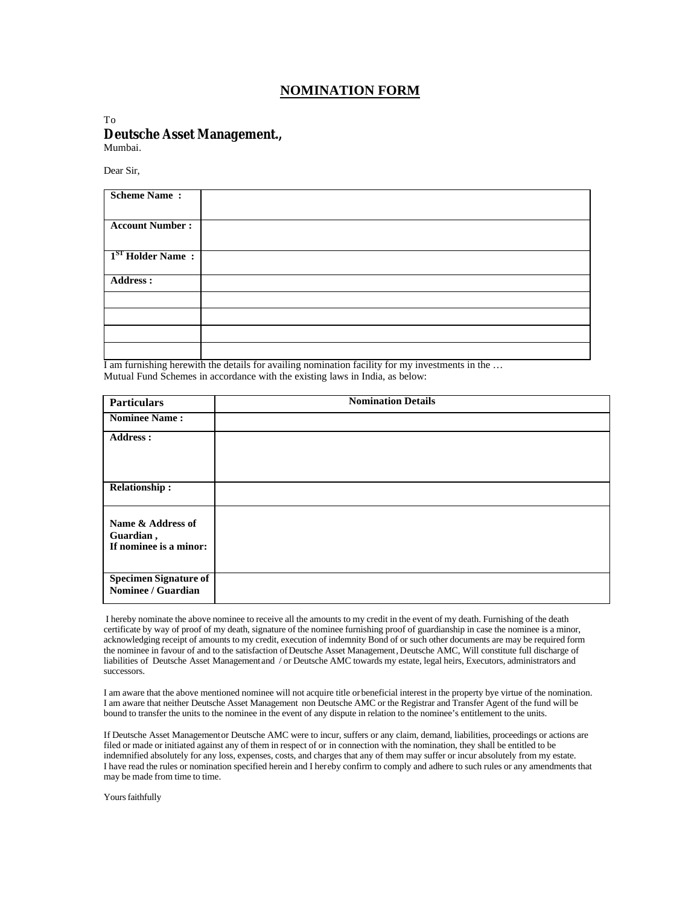## **NOMINATION FORM**

## To **Deutsche Asset Management.,**

Mumbai.

Dear Sir,

| <b>Scheme Name:</b>          |  |
|------------------------------|--|
| <b>Account Number:</b>       |  |
| 1 <sup>ST</sup> Holder Name: |  |
| <b>Address:</b>              |  |
|                              |  |
|                              |  |
|                              |  |
|                              |  |

 $\overline{I}$  am furnishing herewith the details for availing nomination facility for my investments in the ... Mutual Fund Schemes in accordance with the existing laws in India, as below:

| <b>Particulars</b>                                       | <b>Nomination Details</b> |
|----------------------------------------------------------|---------------------------|
| <b>Nominee Name:</b>                                     |                           |
| <b>Address:</b>                                          |                           |
| <b>Relationship:</b>                                     |                           |
| Name & Address of<br>Guardian,<br>If nominee is a minor: |                           |
| <b>Specimen Signature of</b><br>Nominee / Guardian       |                           |

 I hereby nominate the above nominee to receive all the amounts to my credit in the event of my death. Furnishing of the death certificate by way of proof of my death, signature of the nominee furnishing proof of guardianship in case the nominee is a minor, acknowledging receipt of amounts to my credit, execution of indemnity Bond of or such other documents are may be required form the nominee in favour of and to the satisfaction of Deutsche Asset Management, Deutsche AMC, Will constitute full discharge of liabilities of Deutsche Asset Management and / or Deutsche AMC towards my estate, legal heirs, Executors, administrators and successors.

I am aware that the above mentioned nominee will not acquire title or beneficial interest in the property bye virtue of the nomination. I am aware that neither Deutsche Asset Management non Deutsche AMC or the Registrar and Transfer Agent of the fund will be bound to transfer the units to the nominee in the event of any dispute in relation to the nominee's entitlement to the units.

If Deutsche Asset Management or Deutsche AMC were to incur, suffers or any claim, demand, liabilities, proceedings or actions are filed or made or initiated against any of them in respect of or in connection with the nomination, they shall be entitled to be indemnified absolutely for any loss, expenses, costs, and charges that any of them may suffer or incur absolutely from my estate. I have read the rules or nomination specified herein and I hereby confirm to comply and adhere to such rules or any amendments that may be made from time to time.

Yours faithfully